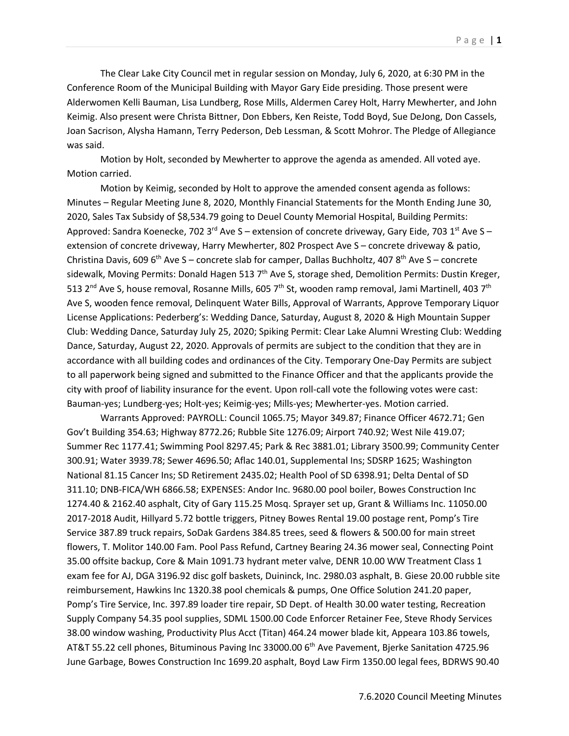The Clear Lake City Council met in regular session on Monday, July 6, 2020, at 6:30 PM in the Conference Room of the Municipal Building with Mayor Gary Eide presiding. Those present were Alderwomen Kelli Bauman, Lisa Lundberg, Rose Mills, Aldermen Carey Holt, Harry Mewherter, and John Keimig. Also present were Christa Bittner, Don Ebbers, Ken Reiste, Todd Boyd, Sue DeJong, Don Cassels, Joan Sacrison, Alysha Hamann, Terry Pederson, Deb Lessman, & Scott Mohror. The Pledge of Allegiance was said.

Motion by Holt, seconded by Mewherter to approve the agenda as amended. All voted aye. Motion carried.

Motion by Keimig, seconded by Holt to approve the amended consent agenda as follows: Minutes – Regular Meeting June 8, 2020, Monthly Financial Statements for the Month Ending June 30, 2020, Sales Tax Subsidy of \$8,534.79 going to Deuel County Memorial Hospital, Building Permits: Approved: Sandra Koenecke, 702 3<sup>rd</sup> Ave S – extension of concrete driveway, Gary Eide, 703 1<sup>st</sup> Ave S – extension of concrete driveway, Harry Mewherter, 802 Prospect Ave S – concrete driveway & patio, Christina Davis, 609 6<sup>th</sup> Ave S – concrete slab for camper, Dallas Buchholtz, 407 8<sup>th</sup> Ave S – concrete sidewalk, Moving Permits: Donald Hagen 513 7<sup>th</sup> Ave S, storage shed, Demolition Permits: Dustin Kreger, 513 2<sup>nd</sup> Ave S, house removal, Rosanne Mills, 605 7<sup>th</sup> St, wooden ramp removal, Jami Martinell, 403 7<sup>th</sup> Ave S, wooden fence removal, Delinquent Water Bills, Approval of Warrants, Approve Temporary Liquor License Applications: Pederberg's: Wedding Dance, Saturday, August 8, 2020 & High Mountain Supper Club: Wedding Dance, Saturday July 25, 2020; Spiking Permit: Clear Lake Alumni Wresting Club: Wedding Dance, Saturday, August 22, 2020. Approvals of permits are subject to the condition that they are in accordance with all building codes and ordinances of the City. Temporary One-Day Permits are subject to all paperwork being signed and submitted to the Finance Officer and that the applicants provide the city with proof of liability insurance for the event. Upon roll-call vote the following votes were cast: Bauman-yes; Lundberg-yes; Holt-yes; Keimig-yes; Mills-yes; Mewherter-yes. Motion carried.

Warrants Approved: PAYROLL: Council 1065.75; Mayor 349.87; Finance Officer 4672.71; Gen Gov't Building 354.63; Highway 8772.26; Rubble Site 1276.09; Airport 740.92; West Nile 419.07; Summer Rec 1177.41; Swimming Pool 8297.45; Park & Rec 3881.01; Library 3500.99; Community Center 300.91; Water 3939.78; Sewer 4696.50; Aflac 140.01, Supplemental Ins; SDSRP 1625; Washington National 81.15 Cancer Ins; SD Retirement 2435.02; Health Pool of SD 6398.91; Delta Dental of SD 311.10; DNB-FICA/WH 6866.58; EXPENSES: Andor Inc. 9680.00 pool boiler, Bowes Construction Inc 1274.40 & 2162.40 asphalt, City of Gary 115.25 Mosq. Sprayer set up, Grant & Williams Inc. 11050.00 2017-2018 Audit, Hillyard 5.72 bottle triggers, Pitney Bowes Rental 19.00 postage rent, Pomp's Tire Service 387.89 truck repairs, SoDak Gardens 384.85 trees, seed & flowers & 500.00 for main street flowers, T. Molitor 140.00 Fam. Pool Pass Refund, Cartney Bearing 24.36 mower seal, Connecting Point 35.00 offsite backup, Core & Main 1091.73 hydrant meter valve, DENR 10.00 WW Treatment Class 1 exam fee for AJ, DGA 3196.92 disc golf baskets, Duininck, Inc. 2980.03 asphalt, B. Giese 20.00 rubble site reimbursement, Hawkins Inc 1320.38 pool chemicals & pumps, One Office Solution 241.20 paper, Pomp's Tire Service, Inc. 397.89 loader tire repair, SD Dept. of Health 30.00 water testing, Recreation Supply Company 54.35 pool supplies, SDML 1500.00 Code Enforcer Retainer Fee, Steve Rhody Services 38.00 window washing, Productivity Plus Acct (Titan) 464.24 mower blade kit, Appeara 103.86 towels, AT&T 55.22 cell phones, Bituminous Paving Inc 33000.00 6<sup>th</sup> Ave Pavement, Bierke Sanitation 4725.96 June Garbage, Bowes Construction Inc 1699.20 asphalt, Boyd Law Firm 1350.00 legal fees, BDRWS 90.40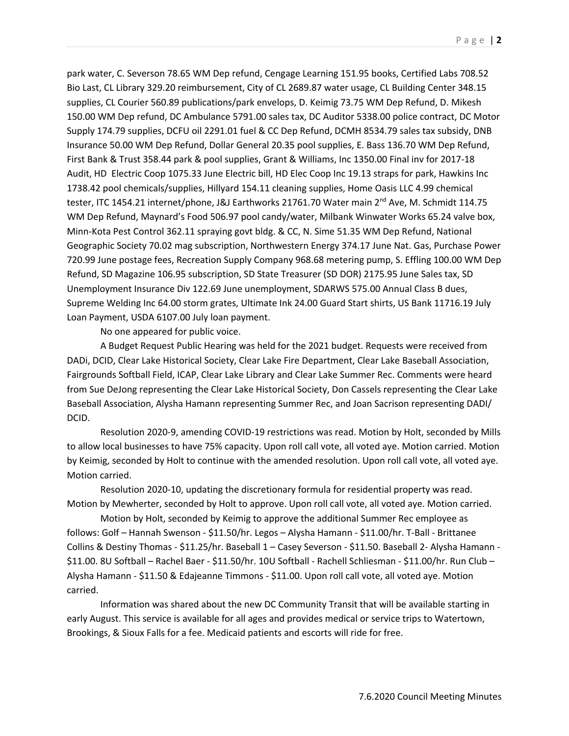park water, C. Severson 78.65 WM Dep refund, Cengage Learning 151.95 books, Certified Labs 708.52 Bio Last, CL Library 329.20 reimbursement, City of CL 2689.87 water usage, CL Building Center 348.15 supplies, CL Courier 560.89 publications/park envelops, D. Keimig 73.75 WM Dep Refund, D. Mikesh 150.00 WM Dep refund, DC Ambulance 5791.00 sales tax, DC Auditor 5338.00 police contract, DC Motor Supply 174.79 supplies, DCFU oil 2291.01 fuel & CC Dep Refund, DCMH 8534.79 sales tax subsidy, DNB Insurance 50.00 WM Dep Refund, Dollar General 20.35 pool supplies, E. Bass 136.70 WM Dep Refund, First Bank & Trust 358.44 park & pool supplies, Grant & Williams, Inc 1350.00 Final inv for 2017-18 Audit, HD Electric Coop 1075.33 June Electric bill, HD Elec Coop Inc 19.13 straps for park, Hawkins Inc 1738.42 pool chemicals/supplies, Hillyard 154.11 cleaning supplies, Home Oasis LLC 4.99 chemical tester, ITC 1454.21 internet/phone, J&J Earthworks 21761.70 Water main 2<sup>nd</sup> Ave, M. Schmidt 114.75 WM Dep Refund, Maynard's Food 506.97 pool candy/water, Milbank Winwater Works 65.24 valve box, Minn-Kota Pest Control 362.11 spraying govt bldg. & CC, N. Sime 51.35 WM Dep Refund, National Geographic Society 70.02 mag subscription, Northwestern Energy 374.17 June Nat. Gas, Purchase Power 720.99 June postage fees, Recreation Supply Company 968.68 metering pump, S. Effling 100.00 WM Dep Refund, SD Magazine 106.95 subscription, SD State Treasurer (SD DOR) 2175.95 June Sales tax, SD Unemployment Insurance Div 122.69 June unemployment, SDARWS 575.00 Annual Class B dues, Supreme Welding Inc 64.00 storm grates, Ultimate Ink 24.00 Guard Start shirts, US Bank 11716.19 July Loan Payment, USDA 6107.00 July loan payment.

No one appeared for public voice.

A Budget Request Public Hearing was held for the 2021 budget. Requests were received from DADi, DCID, Clear Lake Historical Society, Clear Lake Fire Department, Clear Lake Baseball Association, Fairgrounds Softball Field, ICAP, Clear Lake Library and Clear Lake Summer Rec. Comments were heard from Sue DeJong representing the Clear Lake Historical Society, Don Cassels representing the Clear Lake Baseball Association, Alysha Hamann representing Summer Rec, and Joan Sacrison representing DADI/ DCID.

Resolution 2020-9, amending COVID-19 restrictions was read. Motion by Holt, seconded by Mills to allow local businesses to have 75% capacity. Upon roll call vote, all voted aye. Motion carried. Motion by Keimig, seconded by Holt to continue with the amended resolution. Upon roll call vote, all voted aye. Motion carried.

Resolution 2020-10, updating the discretionary formula for residential property was read. Motion by Mewherter, seconded by Holt to approve. Upon roll call vote, all voted aye. Motion carried.

Motion by Holt, seconded by Keimig to approve the additional Summer Rec employee as follows: Golf – Hannah Swenson - \$11.50/hr. Legos – Alysha Hamann - \$11.00/hr. T-Ball - Brittanee Collins & Destiny Thomas - \$11.25/hr. Baseball 1 – Casey Severson - \$11.50. Baseball 2- Alysha Hamann - \$11.00. 8U Softball – Rachel Baer - \$11.50/hr. 10U Softball - Rachell Schliesman - \$11.00/hr. Run Club – Alysha Hamann - \$11.50 & Edajeanne Timmons - \$11.00. Upon roll call vote, all voted aye. Motion carried.

Information was shared about the new DC Community Transit that will be available starting in early August. This service is available for all ages and provides medical or service trips to Watertown, Brookings, & Sioux Falls for a fee. Medicaid patients and escorts will ride for free.